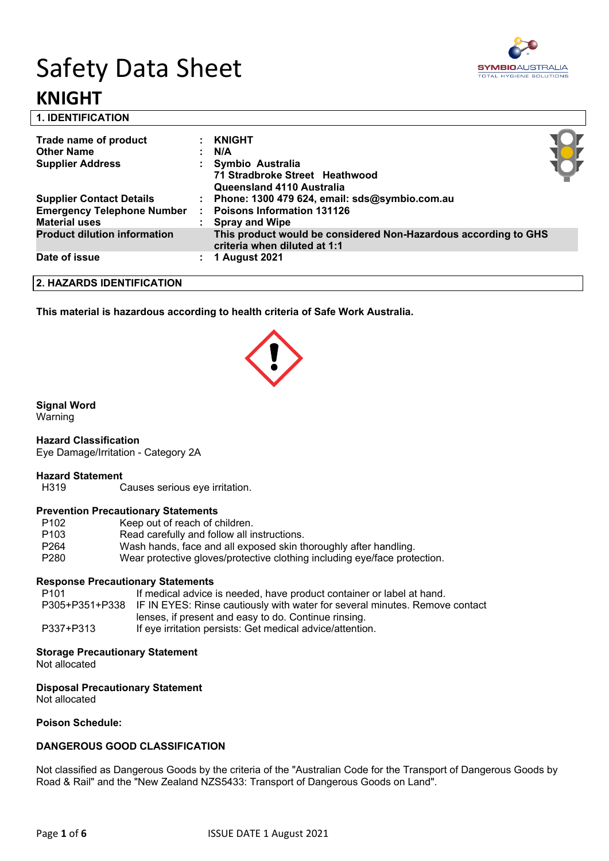# Safety Data Sheet **KNIGHT**



**1. IDENTIFICATION** 

| Trade name of product               | <b>KNIGHT</b>                                                                                   |  |
|-------------------------------------|-------------------------------------------------------------------------------------------------|--|
| <b>Other Name</b>                   | N/A                                                                                             |  |
| <b>Supplier Address</b>             | Symbio Australia                                                                                |  |
|                                     | 71 Stradbroke Street Heathwood                                                                  |  |
|                                     | Queensland 4110 Australia                                                                       |  |
| <b>Supplier Contact Details</b>     | Phone: 1300 479 624, email: sds@symbio.com.au                                                   |  |
| <b>Emergency Telephone Number</b>   | <b>Poisons Information 131126</b>                                                               |  |
| <b>Material uses</b>                | <b>Spray and Wipe</b>                                                                           |  |
| <b>Product dilution information</b> | This product would be considered Non-Hazardous according to GHS<br>criteria when diluted at 1:1 |  |
| Date of issue                       | <b>1 August 2021</b>                                                                            |  |
|                                     |                                                                                                 |  |

**2. HAZARDS IDENTIFICATION**

**This material is hazardous according to health criteria of Safe Work Australia.**

#### **Signal Word**

Warning

#### **Hazard Classification**

Eye Damage/Irritation - Category 2A

#### **Hazard Statement**

H319 Causes serious eye irritation.

#### **Prevention Precautionary Statements**

| P <sub>102</sub> | Keep out of reach of children.                                            |
|------------------|---------------------------------------------------------------------------|
|                  |                                                                           |
| P <sub>103</sub> | Read carefully and follow all instructions.                               |
| P <sub>264</sub> | Wash hands, face and all exposed skin thoroughly after handling.          |
|                  |                                                                           |
| P <sub>280</sub> | Wear protective gloves/protective clothing including eye/face protection. |
|                  |                                                                           |

#### **Response Precautionary Statements**

| P101      | If medical advice is needed, have product container or label at hand.                      |
|-----------|--------------------------------------------------------------------------------------------|
|           | P305+P351+P338 IF IN EYES: Rinse cautiously with water for several minutes. Remove contact |
|           | lenses, if present and easy to do. Continue rinsing.                                       |
| P337+P313 | If eye irritation persists: Get medical advice/attention.                                  |

#### **Storage Precautionary Statement**

Not allocated

#### **Disposal Precautionary Statement**

Not allocated

#### **Poison Schedule:**

#### **DANGEROUS GOOD CLASSIFICATION**

Not classified as Dangerous Goods by the criteria of the "Australian Code for the Transport of Dangerous Goods by Road & Rail" and the "New Zealand NZS5433: Transport of Dangerous Goods on Land".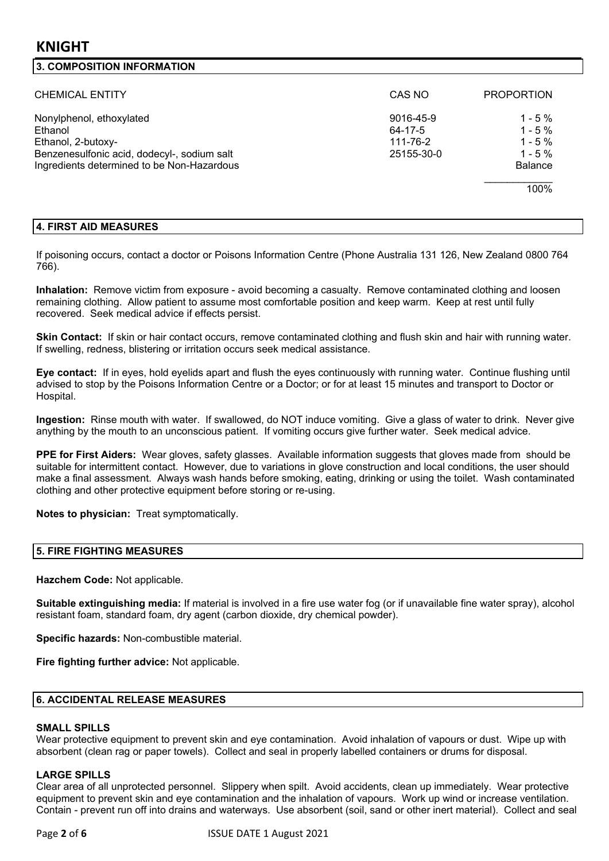### **3. COMPOSITION INFORMATION**

| <b>CHEMICAL ENTITY</b>                                                                                                                                 | CAS NO                                         | <b>PROPORTION</b>                                                           |
|--------------------------------------------------------------------------------------------------------------------------------------------------------|------------------------------------------------|-----------------------------------------------------------------------------|
| Nonylphenol, ethoxylated<br>Ethanol<br>Ethanol, 2-butoxy-<br>Benzenesulfonic acid, dodecyl-, sodium salt<br>Ingredients determined to be Non-Hazardous | 9016-45-9<br>64-17-5<br>111-76-2<br>25155-30-0 | $1 - 5 \%$<br>$1 - 5%$<br>$1 - 5\%$<br>$1 - 5 \%$<br><b>Balance</b><br>100% |

#### **4. FIRST AID MEASURES**

If poisoning occurs, contact a doctor or Poisons Information Centre (Phone Australia 131 126, New Zealand 0800 764 766).

**Inhalation:** Remove victim from exposure - avoid becoming a casualty. Remove contaminated clothing and loosen remaining clothing. Allow patient to assume most comfortable position and keep warm. Keep at rest until fully recovered. Seek medical advice if effects persist.

**Skin Contact:** If skin or hair contact occurs, remove contaminated clothing and flush skin and hair with running water. If swelling, redness, blistering or irritation occurs seek medical assistance.

**Eye contact:** If in eyes, hold eyelids apart and flush the eyes continuously with running water. Continue flushing until advised to stop by the Poisons Information Centre or a Doctor; or for at least 15 minutes and transport to Doctor or Hospital.

**Ingestion:** Rinse mouth with water. If swallowed, do NOT induce vomiting. Give a glass of water to drink. Never give anything by the mouth to an unconscious patient. If vomiting occurs give further water. Seek medical advice.

**PPE for First Aiders:** Wear gloves, safety glasses. Available information suggests that gloves made from should be suitable for intermittent contact. However, due to variations in glove construction and local conditions, the user should make a final assessment. Always wash hands before smoking, eating, drinking or using the toilet. Wash contaminated clothing and other protective equipment before storing or re-using.

**Notes to physician:** Treat symptomatically.

#### **5. FIRE FIGHTING MEASURES**

**Hazchem Code:** Not applicable.

**Suitable extinguishing media:** If material is involved in a fire use water fog (or if unavailable fine water spray), alcohol resistant foam, standard foam, dry agent (carbon dioxide, dry chemical powder).

**Specific hazards:** Non-combustible material.

**Fire fighting further advice:** Not applicable.

#### **6. ACCIDENTAL RELEASE MEASURES**

#### **SMALL SPILLS**

Wear protective equipment to prevent skin and eye contamination. Avoid inhalation of vapours or dust. Wipe up with absorbent (clean rag or paper towels). Collect and seal in properly labelled containers or drums for disposal.

#### **LARGE SPILLS**

Clear area of all unprotected personnel. Slippery when spilt. Avoid accidents, clean up immediately. Wear protective equipment to prevent skin and eye contamination and the inhalation of vapours. Work up wind or increase ventilation. Contain - prevent run off into drains and waterways. Use absorbent (soil, sand or other inert material). Collect and seal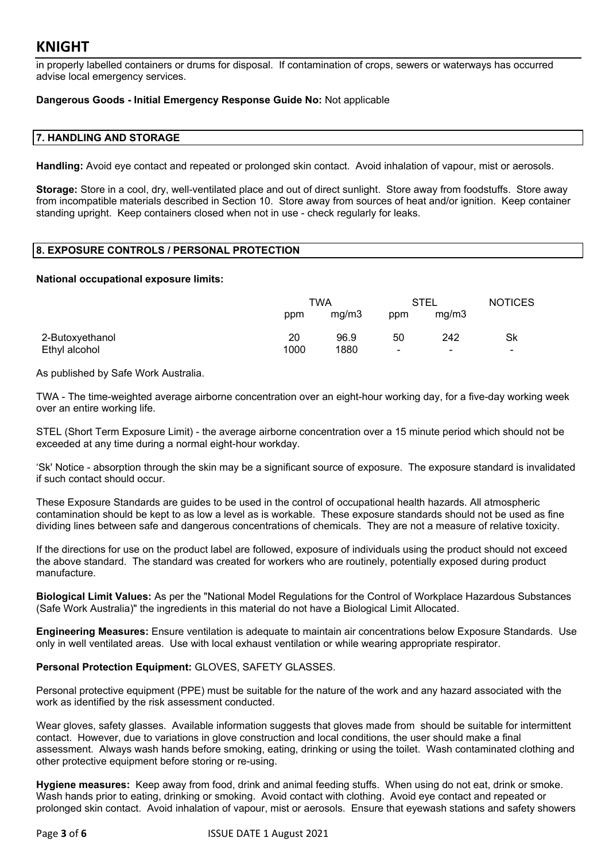in properly labelled containers or drums for disposal. If contamination of crops, sewers or waterways has occurred advise local emergency services.

#### **Dangerous Goods - Initial Emergency Response Guide No:** Not applicable

#### **7. HANDLING AND STORAGE**

**Handling:** Avoid eye contact and repeated or prolonged skin contact. Avoid inhalation of vapour, mist or aerosols.

**Storage:** Store in a cool, dry, well-ventilated place and out of direct sunlight. Store away from foodstuffs. Store away from incompatible materials described in Section 10. Store away from sources of heat and/or ignition. Keep container standing upright. Keep containers closed when not in use - check regularly for leaks.

#### **8. EXPOSURE CONTROLS / PERSONAL PROTECTION**

#### **National occupational exposure limits:**

|                 | ™A   |       | <b>STEL</b>    |                          | <b>NOTICES</b>           |
|-----------------|------|-------|----------------|--------------------------|--------------------------|
|                 | ppm  | mg/m3 | ppm            | mg/m3                    |                          |
| 2-Butoxyethanol | 20   | 96.9  | 50             | 242                      | Sk                       |
| Ethyl alcohol   | 1000 | 1880  | $\blacksquare$ | $\overline{\phantom{a}}$ | $\overline{\phantom{0}}$ |

As published by Safe Work Australia.

TWA - The time-weighted average airborne concentration over an eight-hour working day, for a five-day working week over an entire working life.

STEL (Short Term Exposure Limit) - the average airborne concentration over a 15 minute period which should not be exceeded at any time during a normal eight-hour workday.

'Sk' Notice - absorption through the skin may be a significant source of exposure. The exposure standard is invalidated if such contact should occur.

These Exposure Standards are guides to be used in the control of occupational health hazards. All atmospheric contamination should be kept to as low a level as is workable. These exposure standards should not be used as fine dividing lines between safe and dangerous concentrations of chemicals. They are not a measure of relative toxicity.

If the directions for use on the product label are followed, exposure of individuals using the product should not exceed the above standard. The standard was created for workers who are routinely, potentially exposed during product manufacture.

**Biological Limit Values:** As per the "National Model Regulations for the Control of Workplace Hazardous Substances (Safe Work Australia)" the ingredients in this material do not have a Biological Limit Allocated.

**Engineering Measures:** Ensure ventilation is adequate to maintain air concentrations below Exposure Standards. Use only in well ventilated areas. Use with local exhaust ventilation or while wearing appropriate respirator.

#### **Personal Protection Equipment:** GLOVES, SAFETY GLASSES.

Personal protective equipment (PPE) must be suitable for the nature of the work and any hazard associated with the work as identified by the risk assessment conducted.

Wear gloves, safety glasses. Available information suggests that gloves made from should be suitable for intermittent contact. However, due to variations in glove construction and local conditions, the user should make a final assessment. Always wash hands before smoking, eating, drinking or using the toilet. Wash contaminated clothing and other protective equipment before storing or re-using.

**Hygiene measures:** Keep away from food, drink and animal feeding stuffs. When using do not eat, drink or smoke. Wash hands prior to eating, drinking or smoking. Avoid contact with clothing. Avoid eye contact and repeated or prolonged skin contact. Avoid inhalation of vapour, mist or aerosols. Ensure that eyewash stations and safety showers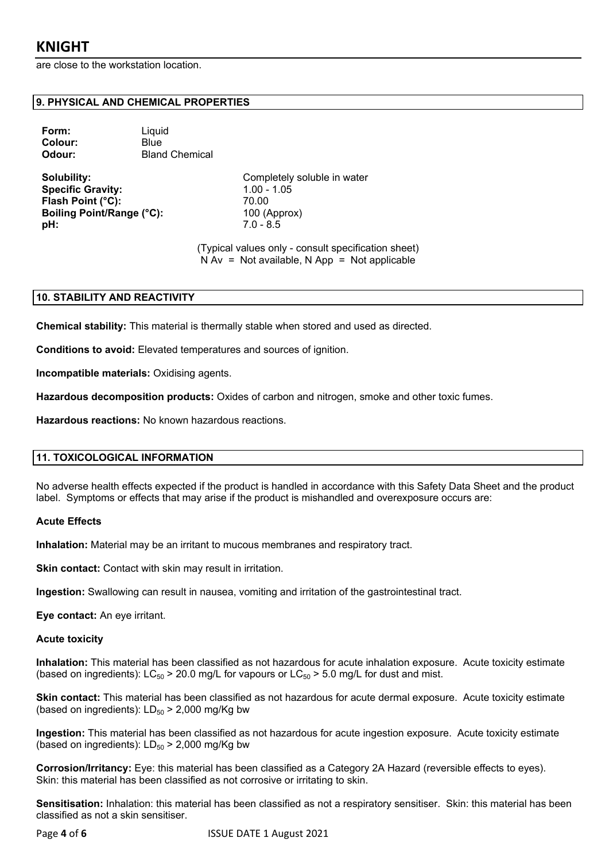are close to the workstation location.

#### **9. PHYSICAL AND CHEMICAL PROPERTIES**

| Form:          | Liquid                |
|----------------|-----------------------|
| <b>Colour:</b> | Blue                  |
| Odour:         | <b>Bland Chemical</b> |

**Specific Gravity:** 1.00 - 1.05 **Flash Point (°C):** 70.00 **Boiling Point/Range (°C):** 100 (Approx) **pH:** 7.0 - 8.5

**Solubility:** Completely soluble in water

(Typical values only - consult specification sheet)  $N Av = Not available, N App = Not applicable$ 

#### **10. STABILITY AND REACTIVITY**

**Chemical stability:** This material is thermally stable when stored and used as directed.

**Conditions to avoid:** Elevated temperatures and sources of ignition.

**Incompatible materials:** Oxidising agents.

**Hazardous decomposition products:** Oxides of carbon and nitrogen, smoke and other toxic fumes.

**Hazardous reactions:** No known hazardous reactions.

#### **11. TOXICOLOGICAL INFORMATION**

No adverse health effects expected if the product is handled in accordance with this Safety Data Sheet and the product label. Symptoms or effects that may arise if the product is mishandled and overexposure occurs are:

#### **Acute Effects**

**Inhalation:** Material may be an irritant to mucous membranes and respiratory tract.

**Skin contact:** Contact with skin may result in irritation.

**Ingestion:** Swallowing can result in nausea, vomiting and irritation of the gastrointestinal tract.

**Eye contact:** An eye irritant.

#### **Acute toxicity**

**Inhalation:** This material has been classified as not hazardous for acute inhalation exposure. Acute toxicity estimate (based on ingredients):  $LC_{50}$  > 20.0 mg/L for vapours or  $LC_{50}$  > 5.0 mg/L for dust and mist.

**Skin contact:** This material has been classified as not hazardous for acute dermal exposure. Acute toxicity estimate (based on ingredients):  $LD_{50}$  > 2,000 mg/Kg bw

**Ingestion:** This material has been classified as not hazardous for acute ingestion exposure. Acute toxicity estimate (based on ingredients):  $LD_{50}$  > 2,000 mg/Kg bw

**Corrosion/Irritancy:** Eye: this material has been classified as a Category 2A Hazard (reversible effects to eyes). Skin: this material has been classified as not corrosive or irritating to skin.

**Sensitisation:** Inhalation: this material has been classified as not a respiratory sensitiser. Skin: this material has been classified as not a skin sensitiser.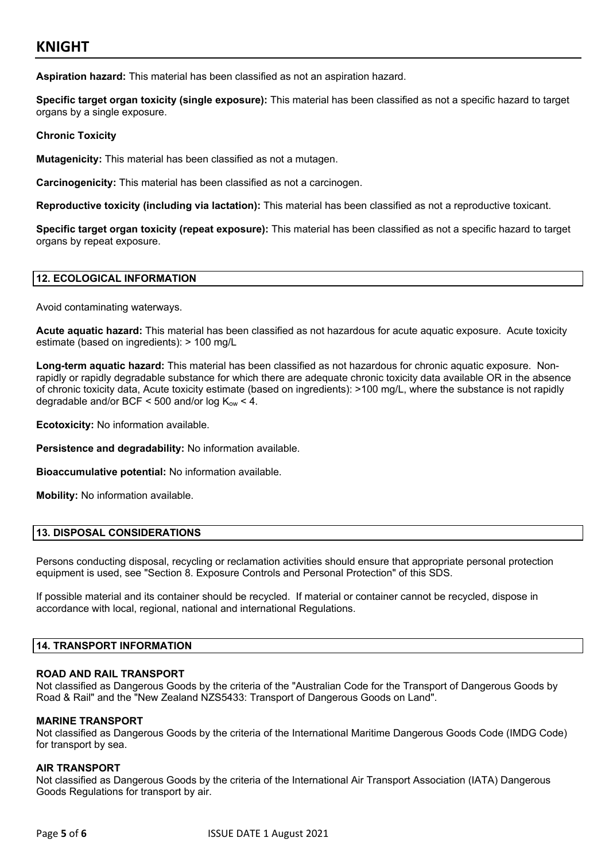**Aspiration hazard:** This material has been classified as not an aspiration hazard.

**Specific target organ toxicity (single exposure):** This material has been classified as not a specific hazard to target organs by a single exposure.

#### **Chronic Toxicity**

**Mutagenicity:** This material has been classified as not a mutagen.

**Carcinogenicity:** This material has been classified as not a carcinogen.

**Reproductive toxicity (including via lactation):** This material has been classified as not a reproductive toxicant.

**Specific target organ toxicity (repeat exposure):** This material has been classified as not a specific hazard to target organs by repeat exposure.

#### **12. ECOLOGICAL INFORMATION**

Avoid contaminating waterways.

**Acute aquatic hazard:** This material has been classified as not hazardous for acute aquatic exposure. Acute toxicity estimate (based on ingredients): > 100 mg/L

**Long-term aquatic hazard:** This material has been classified as not hazardous for chronic aquatic exposure. Nonrapidly or rapidly degradable substance for which there are adequate chronic toxicity data available OR in the absence of chronic toxicity data, Acute toxicity estimate (based on ingredients): >100 mg/L, where the substance is not rapidly degradable and/or BCF < 500 and/or log  $K_{ow}$  < 4.

**Ecotoxicity:** No information available.

**Persistence and degradability:** No information available.

**Bioaccumulative potential:** No information available.

**Mobility:** No information available.

#### **13. DISPOSAL CONSIDERATIONS**

Persons conducting disposal, recycling or reclamation activities should ensure that appropriate personal protection equipment is used, see "Section 8. Exposure Controls and Personal Protection" of this SDS.

If possible material and its container should be recycled. If material or container cannot be recycled, dispose in accordance with local, regional, national and international Regulations.

#### **14. TRANSPORT INFORMATION**

#### **ROAD AND RAIL TRANSPORT**

Not classified as Dangerous Goods by the criteria of the "Australian Code for the Transport of Dangerous Goods by Road & Rail" and the "New Zealand NZS5433: Transport of Dangerous Goods on Land".

#### **MARINE TRANSPORT**

Not classified as Dangerous Goods by the criteria of the International Maritime Dangerous Goods Code (IMDG Code) for transport by sea.

#### **AIR TRANSPORT**

Not classified as Dangerous Goods by the criteria of the International Air Transport Association (IATA) Dangerous Goods Regulations for transport by air.